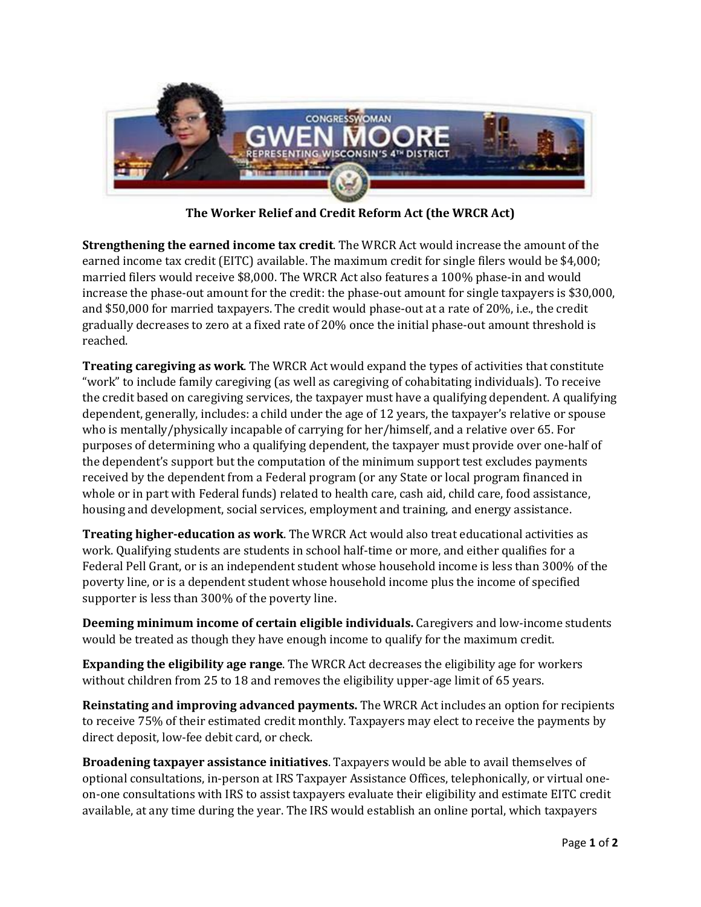

**The Worker Relief and Credit Reform Act (the WRCR Act)**

**Strengthening the earned income tax credit**. The WRCR Act would increase the amount of the earned income tax credit (EITC) available. The maximum credit for single filers would be \$4,000; married filers would receive \$8,000. The WRCR Act also features a 100% phase-in and would increase the phase-out amount for the credit: the phase-out amount for single taxpayers is \$30,000, and \$50,000 for married taxpayers. The credit would phase-out at a rate of 20%, i.e., the credit gradually decreases to zero at a fixed rate of 20% once the initial phase-out amount threshold is reached.

**Treating caregiving as work**. The WRCR Act would expand the types of activities that constitute "work" to include family caregiving (as well as caregiving of cohabitating individuals). To receive the credit based on caregiving services, the taxpayer must have a qualifying dependent. A qualifying dependent, generally, includes: a child under the age of 12 years, the taxpayer's relative or spouse who is mentally/physically incapable of carrying for her/himself, and a relative over 65. For purposes of determining who a qualifying dependent, the taxpayer must provide over one-half of the dependent's support but the computation of the minimum support test excludes payments received by the dependent from a Federal program (or any State or local program financed in whole or in part with Federal funds) related to health care, cash aid, child care, food assistance, housing and development, social services, employment and training, and energy assistance.

**Treating higher-education as work**. The WRCR Act would also treat educational activities as work. Qualifying students are students in school half-time or more, and either qualifies for a Federal Pell Grant, or is an independent student whose household income is less than 300% of the poverty line, or is a dependent student whose household income plus the income of specified supporter is less than 300% of the poverty line.

**Deeming minimum income of certain eligible individuals.** Caregivers and low-income students would be treated as though they have enough income to qualify for the maximum credit.

**Expanding the eligibility age range**. The WRCR Act decreases the eligibility age for workers without children from 25 to 18 and removes the eligibility upper-age limit of 65 years.

**Reinstating and improving advanced payments.** The WRCR Act includes an option for recipients to receive 75% of their estimated credit monthly. Taxpayers may elect to receive the payments by direct deposit, low-fee debit card, or check.

**Broadening taxpayer assistance initiatives**. Taxpayers would be able to avail themselves of optional consultations, in-person at IRS Taxpayer Assistance Offices, telephonically, or virtual oneon-one consultations with IRS to assist taxpayers evaluate their eligibility and estimate EITC credit available, at any time during the year. The IRS would establish an online portal, which taxpayers